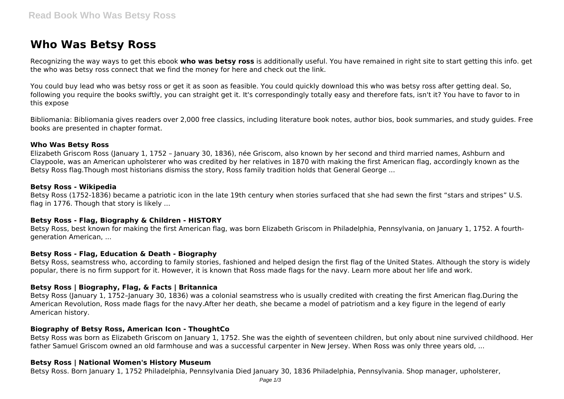# **Who Was Betsy Ross**

Recognizing the way ways to get this ebook **who was betsy ross** is additionally useful. You have remained in right site to start getting this info. get the who was betsy ross connect that we find the money for here and check out the link.

You could buy lead who was betsy ross or get it as soon as feasible. You could quickly download this who was betsy ross after getting deal. So, following you require the books swiftly, you can straight get it. It's correspondingly totally easy and therefore fats, isn't it? You have to favor to in this expose

Bibliomania: Bibliomania gives readers over 2,000 free classics, including literature book notes, author bios, book summaries, and study guides. Free books are presented in chapter format.

## **Who Was Betsy Ross**

Elizabeth Griscom Ross (January 1, 1752 – January 30, 1836), née Griscom, also known by her second and third married names, Ashburn and Claypoole, was an American upholsterer who was credited by her relatives in 1870 with making the first American flag, accordingly known as the Betsy Ross flag.Though most historians dismiss the story, Ross family tradition holds that General George ...

## **Betsy Ross - Wikipedia**

Betsy Ross (1752-1836) became a patriotic icon in the late 19th century when stories surfaced that she had sewn the first "stars and stripes" U.S. flag in 1776. Though that story is likely ...

## **Betsy Ross - Flag, Biography & Children - HISTORY**

Betsy Ross, best known for making the first American flag, was born Elizabeth Griscom in Philadelphia, Pennsylvania, on January 1, 1752. A fourthgeneration American, ...

## **Betsy Ross - Flag, Education & Death - Biography**

Betsy Ross, seamstress who, according to family stories, fashioned and helped design the first flag of the United States. Although the story is widely popular, there is no firm support for it. However, it is known that Ross made flags for the navy. Learn more about her life and work.

## **Betsy Ross | Biography, Flag, & Facts | Britannica**

Betsy Ross (January 1, 1752-January 30, 1836) was a colonial seamstress who is usually credited with creating the first American flag. During the American Revolution, Ross made flags for the navy.After her death, she became a model of patriotism and a key figure in the legend of early American history.

## **Biography of Betsy Ross, American Icon - ThoughtCo**

Betsy Ross was born as Elizabeth Griscom on January 1, 1752. She was the eighth of seventeen children, but only about nine survived childhood. Her father Samuel Griscom owned an old farmhouse and was a successful carpenter in New Jersey. When Ross was only three years old, ...

## **Betsy Ross | National Women's History Museum**

Betsy Ross. Born January 1, 1752 Philadelphia, Pennsylvania Died January 30, 1836 Philadelphia, Pennsylvania. Shop manager, upholsterer,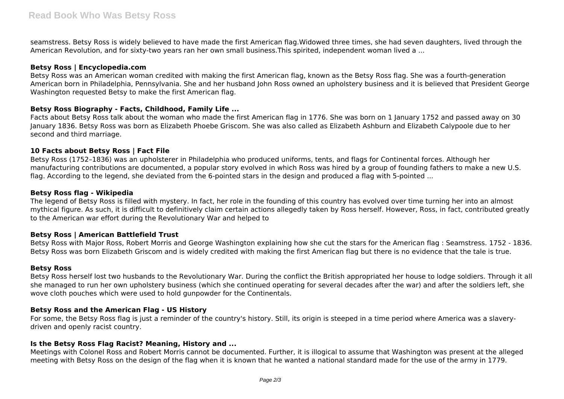seamstress. Betsy Ross is widely believed to have made the first American flag.Widowed three times, she had seven daughters, lived through the American Revolution, and for sixty-two years ran her own small business.This spirited, independent woman lived a ...

## **Betsy Ross | Encyclopedia.com**

Betsy Ross was an American woman credited with making the first American flag, known as the Betsy Ross flag. She was a fourth-generation American born in Philadelphia, Pennsylvania. She and her husband John Ross owned an upholstery business and it is believed that President George Washington requested Betsy to make the first American flag.

# **Betsy Ross Biography - Facts, Childhood, Family Life ...**

Facts about Betsy Ross talk about the woman who made the first American flag in 1776. She was born on 1 January 1752 and passed away on 30 January 1836. Betsy Ross was born as Elizabeth Phoebe Griscom. She was also called as Elizabeth Ashburn and Elizabeth Calypoole due to her second and third marriage.

# **10 Facts about Betsy Ross | Fact File**

Betsy Ross (1752–1836) was an upholsterer in Philadelphia who produced uniforms, tents, and flags for Continental forces. Although her manufacturing contributions are documented, a popular story evolved in which Ross was hired by a group of founding fathers to make a new U.S. flag. According to the legend, she deviated from the 6-pointed stars in the design and produced a flag with 5-pointed ...

# **Betsy Ross flag - Wikipedia**

The legend of Betsy Ross is filled with mystery. In fact, her role in the founding of this country has evolved over time turning her into an almost mythical figure. As such, it is difficult to definitively claim certain actions allegedly taken by Ross herself. However, Ross, in fact, contributed greatly to the American war effort during the Revolutionary War and helped to

# **Betsy Ross | American Battlefield Trust**

Betsy Ross with Major Ross, Robert Morris and George Washington explaining how she cut the stars for the American flag : Seamstress. 1752 - 1836. Betsy Ross was born Elizabeth Griscom and is widely credited with making the first American flag but there is no evidence that the tale is true.

## **Betsy Ross**

Betsy Ross herself lost two husbands to the Revolutionary War. During the conflict the British appropriated her house to lodge soldiers. Through it all she managed to run her own upholstery business (which she continued operating for several decades after the war) and after the soldiers left, she wove cloth pouches which were used to hold gunpowder for the Continentals.

# **Betsy Ross and the American Flag - US History**

For some, the Betsy Ross flag is just a reminder of the country's history. Still, its origin is steeped in a time period where America was a slaverydriven and openly racist country.

# **Is the Betsy Ross Flag Racist? Meaning, History and ...**

Meetings with Colonel Ross and Robert Morris cannot be documented. Further, it is illogical to assume that Washington was present at the alleged meeting with Betsy Ross on the design of the flag when it is known that he wanted a national standard made for the use of the army in 1779.